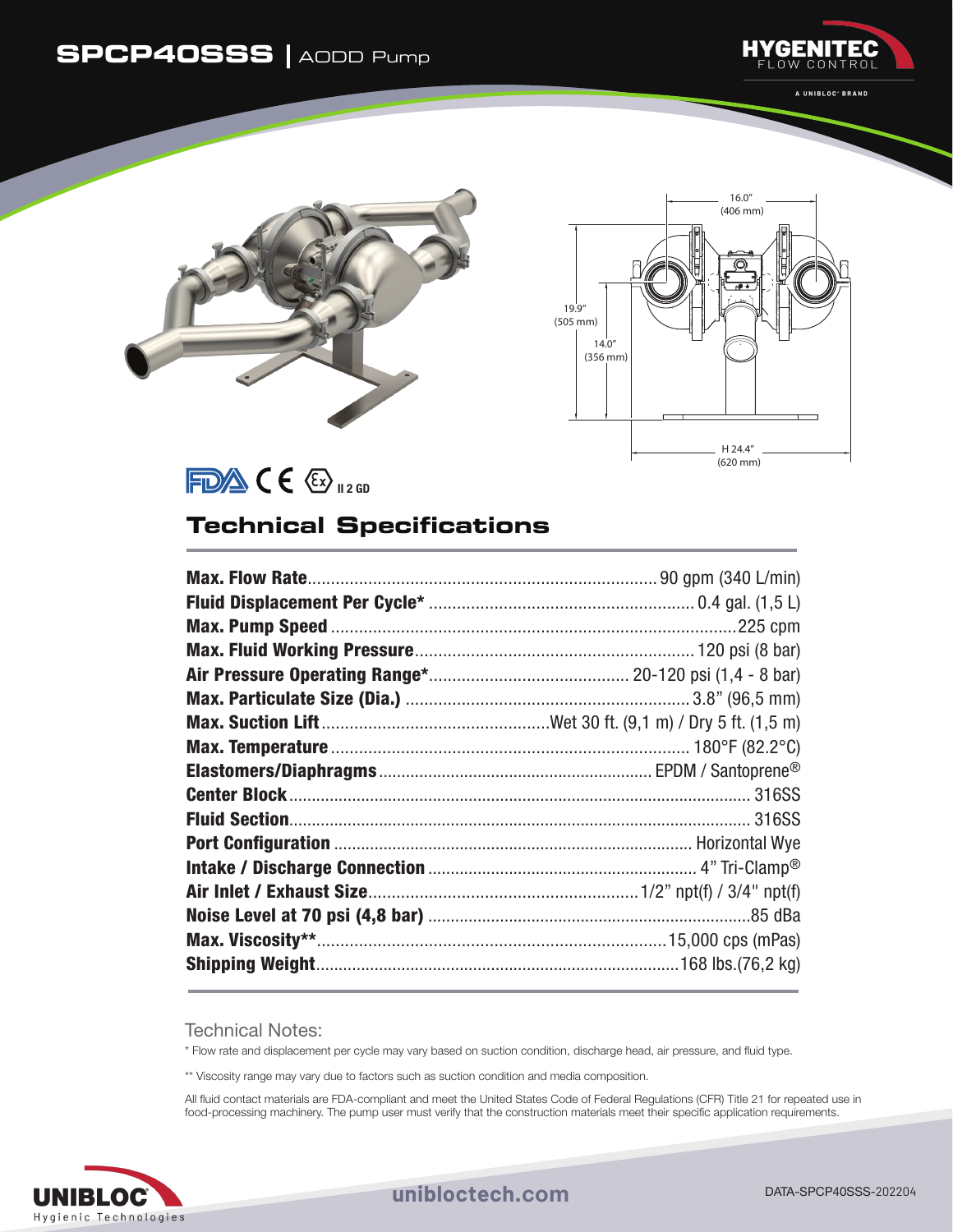## **SPCP40SSS |** AODD Pump



A UNIBLOC' BRAND





 $FDA$  ( $E_{120}$ 

## **Technical Specifications**

Technical Notes:

\* Flow rate and displacement per cycle may vary based on suction condition, discharge head, air pressure, and fluid type.

\*\* Viscosity range may vary due to factors such as suction condition and media composition.

All fluid contact materials are FDA-compliant and meet the United States Code of Federal Regulations (CFR) Title 21 for repeated use in food-processing machinery. The pump user must verify that the construction materials meet their specific application requirements.